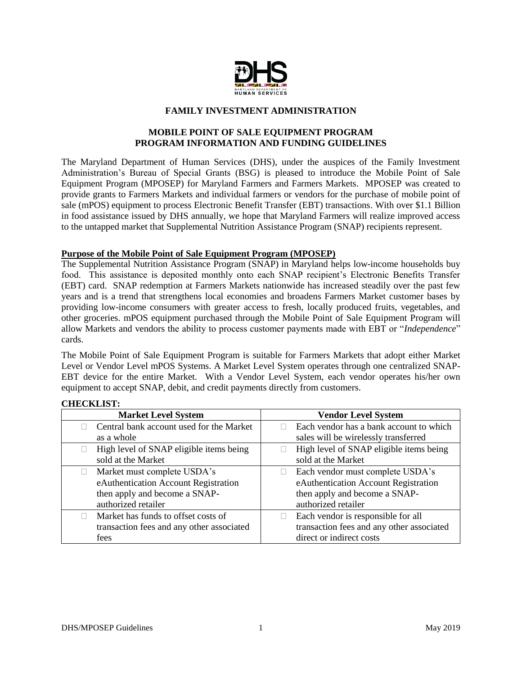

#### **FAMILY INVESTMENT ADMINISTRATION**

## **MOBILE POINT OF SALE EQUIPMENT PROGRAM PROGRAM INFORMATION AND FUNDING GUIDELINES**

The Maryland Department of Human Services (DHS), under the auspices of the Family Investment Administration's Bureau of Special Grants (BSG) is pleased to introduce the Mobile Point of Sale Equipment Program (MPOSEP) for Maryland Farmers and Farmers Markets. MPOSEP was created to provide grants to Farmers Markets and individual farmers or vendors for the purchase of mobile point of sale (mPOS) equipment to process Electronic Benefit Transfer (EBT) transactions. With over \$1.1 Billion in food assistance issued by DHS annually, we hope that Maryland Farmers will realize improved access to the untapped market that Supplemental Nutrition Assistance Program (SNAP) recipients represent.

#### **Purpose of the Mobile Point of Sale Equipment Program (MPOSEP)**

The Supplemental Nutrition Assistance Program (SNAP) in Maryland helps low-income households buy food. This assistance is deposited monthly onto each SNAP recipient's Electronic Benefits Transfer (EBT) card. SNAP redemption at Farmers Markets nationwide has increased steadily over the past few years and is a trend that strengthens local economies and broadens Farmers Market customer bases by providing low-income consumers with greater access to fresh, locally produced fruits, vegetables, and other groceries. mPOS equipment purchased through the Mobile Point of Sale Equipment Program will allow Markets and vendors the ability to process customer payments made with EBT or "*Independence*" cards.

The Mobile Point of Sale Equipment Program is suitable for Farmers Markets that adopt either Market Level or Vendor Level mPOS Systems. A Market Level System operates through one centralized SNAP-EBT device for the entire Market. With a Vendor Level System, each vendor operates his/her own equipment to accept SNAP, debit, and credit payments directly from customers.

#### **CHECKLIST:**

| <b>Market Level System</b>                | <b>Vendor Level System</b>                |
|-------------------------------------------|-------------------------------------------|
| Central bank account used for the Market  | Each vendor has a bank account to which   |
| as a whole                                | sales will be wirelessly transferred      |
| High level of SNAP eligible items being   | High level of SNAP eligible items being   |
| sold at the Market                        | sold at the Market                        |
| Market must complete USDA's               | Each vendor must complete USDA's          |
| eAuthentication Account Registration      | eAuthentication Account Registration      |
| then apply and become a SNAP-             | then apply and become a SNAP-             |
| authorized retailer                       | authorized retailer                       |
| Market has funds to offset costs of       | Each vendor is responsible for all        |
| transaction fees and any other associated | transaction fees and any other associated |
| fees                                      | direct or indirect costs                  |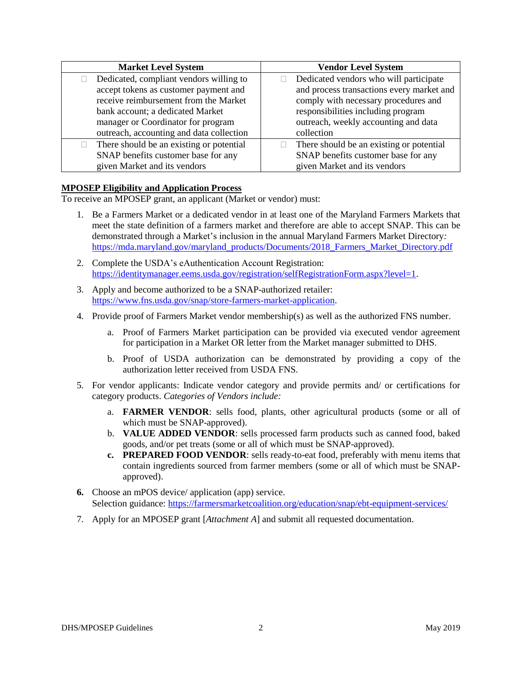| <b>Market Level System</b>               | <b>Vendor Level System</b>                |
|------------------------------------------|-------------------------------------------|
| Dedicated, compliant vendors willing to  | Dedicated vendors who will participate    |
| accept tokens as customer payment and    | and process transactions every market and |
| receive reimbursement from the Market    | comply with necessary procedures and      |
| bank account; a dedicated Market         | responsibilities including program        |
| manager or Coordinator for program       | outreach, weekly accounting and data      |
| outreach, accounting and data collection | collection                                |
| There should be an existing or potential | There should be an existing or potential  |
| SNAP benefits customer base for any      | SNAP benefits customer base for any       |
| given Market and its vendors             | given Market and its vendors              |

## **MPOSEP Eligibility and Application Process**

To receive an MPOSEP grant, an applicant (Market or vendor) must:

- 1. Be a Farmers Market or a dedicated vendor in at least one of the Maryland Farmers Markets that meet the state definition of a farmers market and therefore are able to accept SNAP. This can be demonstrated through a Market's inclusion in the annual Maryland Farmers Market Directory*:* [https://mda.maryland.gov/maryland\\_products/Documents/2018\\_Farmers\\_Market\\_Directory.pdf](https://mda.maryland.gov/maryland_products/Documents/2018_Farmers_Market_Directory.pdf)
- 2. Complete the USDA's eAuthentication Account Registration: [https://identitymanager.eems.usda.gov/registration/selfRegistrationForm.aspx?level=1.](https://identitymanager.eems.usda.gov/registration/selfRegistrationForm.aspx?level=1)
- 3. Apply and become authorized to be a SNAP-authorized retailer: [https://www.fns.usda.gov/snap/store-farmers-market-application.](https://www.fns.usda.gov/snap/store-farmers-market-application)
- 4. Provide proof of Farmers Market vendor membership(s) as well as the authorized FNS number.
	- a. Proof of Farmers Market participation can be provided via executed vendor agreement for participation in a Market OR letter from the Market manager submitted to DHS.
	- b. Proof of USDA authorization can be demonstrated by providing a copy of the authorization letter received from USDA FNS.
- 5. For vendor applicants: Indicate vendor category and provide permits and/ or certifications for category products. *Categories of Vendors include:*
	- a. **FARMER VENDOR**: sells food, plants, other agricultural products (some or all of which must be SNAP-approved).
	- b. **VALUE ADDED VENDOR**: sells processed farm products such as canned food, baked goods, and/or pet treats (some or all of which must be SNAP-approved).
	- **c. PREPARED FOOD VENDOR**: sells ready-to-eat food, preferably with menu items that contain ingredients sourced from farmer members (some or all of which must be SNAPapproved).
- **6.** Choose an mPOS device/ application (app) service. Selection guidance:<https://farmersmarketcoalition.org/education/snap/ebt-equipment-services/>
- 7. Apply for an MPOSEP grant [*Attachment A*] and submit all requested documentation.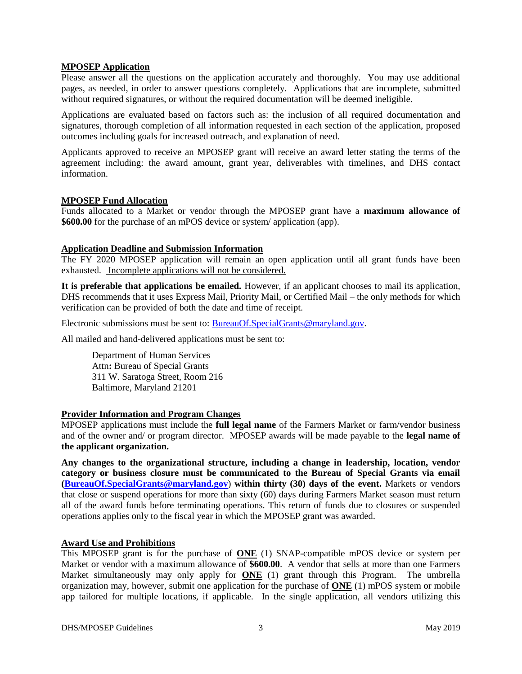#### **MPOSEP Application**

Please answer all the questions on the application accurately and thoroughly. You may use additional pages, as needed, in order to answer questions completely. Applications that are incomplete, submitted without required signatures, or without the required documentation will be deemed ineligible.

Applications are evaluated based on factors such as: the inclusion of all required documentation and signatures, thorough completion of all information requested in each section of the application, proposed outcomes including goals for increased outreach, and explanation of need.

Applicants approved to receive an MPOSEP grant will receive an award letter stating the terms of the agreement including: the award amount, grant year, deliverables with timelines, and DHS contact information.

#### **MPOSEP Fund Allocation**

Funds allocated to a Market or vendor through the MPOSEP grant have a **maximum allowance of \$600.00** for the purchase of an mPOS device or system/ application (app).

# **Application Deadline and Submission Information**

The FY 2020 MPOSEP application will remain an open application until all grant funds have been exhausted. Incomplete applications will not be considered.

**It is preferable that applications be emailed.** However, if an applicant chooses to mail its application, DHS recommends that it uses Express Mail, Priority Mail, or Certified Mail – the only methods for which verification can be provided of both the date and time of receipt.

Electronic submissions must be sent to: [BureauOf.SpecialGrants@maryland.gov.](mailto:BureauOf.SpecialGrants@maryland.gov)

All mailed and hand-delivered applications must be sent to:

Department of Human Services Attn**:** Bureau of Special Grants 311 W. Saratoga Street, Room 216 Baltimore, Maryland 21201

## **Provider Information and Program Changes**

MPOSEP applications must include the **full legal name** of the Farmers Market or farm/vendor business and of the owner and/ or program director. MPOSEP awards will be made payable to the **legal name of the applicant organization.** 

**Any changes to the organizational structure, including a change in leadership, location, vendor category or business closure must be communicated to the Bureau of Special Grants via email [\(BureauOf.SpecialGrants@maryland.gov](mailto:BureauOf.SpecialGrants@maryland.gov)**) **within thirty (30) days of the event.** Markets or vendors that close or suspend operations for more than sixty (60) days during Farmers Market season must return all of the award funds before terminating operations. This return of funds due to closures or suspended operations applies only to the fiscal year in which the MPOSEP grant was awarded.

## **Award Use and Prohibitions**

This MPOSEP grant is for the purchase of **ONE** (1) SNAP-compatible mPOS device or system per Market or vendor with a maximum allowance of **\$600.00**. A vendor that sells at more than one Farmers Market simultaneously may only apply for **ONE** (1) grant through this Program. The umbrella organization may, however, submit one application for the purchase of **ONE** (1) mPOS system or mobile app tailored for multiple locations, if applicable. In the single application, all vendors utilizing this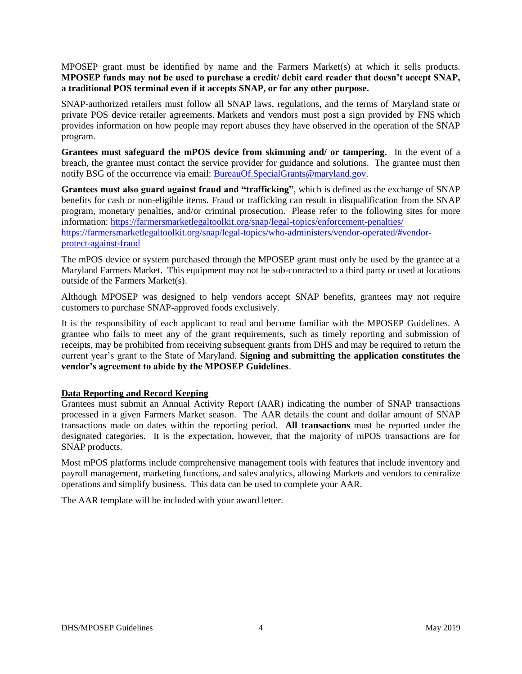MPOSEP grant must be identified by name and the Farmers Market(s) at which it sells products. **MPOSEP funds may not be used to purchase a credit/ debit card reader that doesn't accept SNAP, a traditional POS terminal even if it accepts SNAP, or for any other purpose.** 

SNAP-authorized retailers must follow all SNAP laws, regulations, and the terms of Maryland state or private POS device retailer agreements. Markets and vendors must post a sign provided by FNS which provides information on how people may report abuses they have observed in the operation of the SNAP program.

**Grantees must safeguard the mPOS device from skimming and/ or tampering.** In the event of a breach, the grantee must contact the service provider for guidance and solutions. The grantee must then notify BSG of the occurrence via email: [BureauOf.SpecialGrants@maryland.gov.](mailto:BureauOf.SpecialGrants@maryland.gov)

**Grantees must also guard against fraud and "trafficking"**, which is defined as the exchange of SNAP benefits for cash or non-eligible items. Fraud or trafficking can result in disqualification from the SNAP program, monetary penalties, and/or criminal prosecution. Please refer to the following sites for more information[: https://farmersmarketlegaltoolkit.org/snap/legal-topics/enforcement-penalties/](https://farmersmarketlegaltoolkit.org/snap/legal-topics/enforcement-penalties/) [https://farmersmarketlegaltoolkit.org/snap/legal-topics/who-administers/vendor-operated/#vendor](https://farmersmarketlegaltoolkit.org/snap/legal-topics/who-administers/vendor-operated/#vendor-protect-against-fraud)[protect-against-fraud](https://farmersmarketlegaltoolkit.org/snap/legal-topics/who-administers/vendor-operated/#vendor-protect-against-fraud)

The mPOS device or system purchased through the MPOSEP grant must only be used by the grantee at a Maryland Farmers Market. This equipment may not be sub-contracted to a third party or used at locations outside of the Farmers Market(s).

Although MPOSEP was designed to help vendors accept SNAP benefits, grantees may not require customers to purchase SNAP-approved foods exclusively.

It is the responsibility of each applicant to read and become familiar with the MPOSEP Guidelines. A grantee who fails to meet any of the grant requirements, such as timely reporting and submission of receipts, may be prohibited from receiving subsequent grants from DHS and may be required to return the current year's grant to the State of Maryland. **Signing and submitting the application constitutes the vendor's agreement to abide by the MPOSEP Guidelines**.

## **Data Reporting and Record Keeping**

Grantees must submit an Annual Activity Report (AAR) indicating the number of SNAP transactions processed in a given Farmers Market season. The AAR details the count and dollar amount of SNAP transactions made on dates within the reporting period. **All transactions** must be reported under the designated categories. It is the expectation, however, that the majority of mPOS transactions are for SNAP products.

Most mPOS platforms include comprehensive management tools with features that include inventory and payroll management, marketing functions, and sales analytics, allowing Markets and vendors to centralize operations and simplify business. This data can be used to complete your AAR.

The AAR template will be included with your award letter.